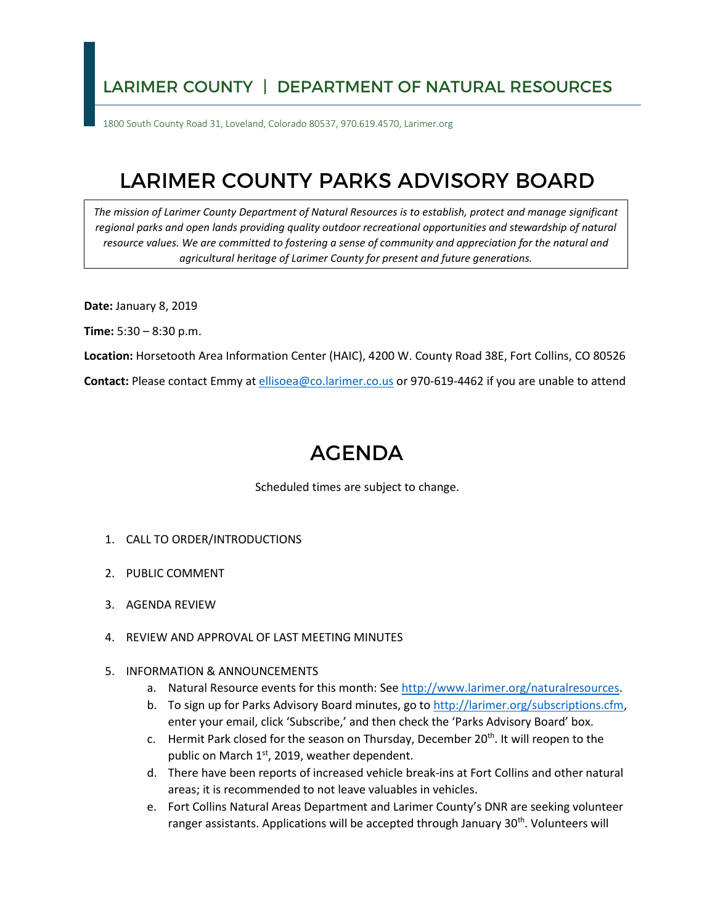## LARIMER COUNTY | DEPARTMENT OF NATURAL RESOURCES

1800 South County Road 31, Loveland, Colorado 80537, 970.619.4570, Larimer.org

## LARIMER COUNTY PARKS ADVISORY BOARD

*The mission of Larimer County Department of Natural Resources is to establish, protect and manage significant regional parks and open lands providing quality outdoor recreational opportunities and stewardship of natural resource values. We are committed to fostering a sense of community and appreciation for the natural and agricultural heritage of Larimer County for present and future generations.* 

**Date:** January 8, 2019

**Time:** 5:30 – 8:30 p.m.

**Location:** Horsetooth Area Information Center (HAIC), 4200 W. County Road 38E, Fort Collins, CO 80526

**Contact:** Please contact Emmy at [ellisoea@co.larimer.co.us](mailto:ellisoea@co.larimer.co.us) or 970-619-4462 if you are unable to attend

## AGENDA

Scheduled times are subject to change.

- 1. CALL TO ORDER/INTRODUCTIONS
- 2. PUBLIC COMMENT
- 3. AGENDA REVIEW
- 4. REVIEW AND APPROVAL OF LAST MEETING MINUTES
- 5. INFORMATION & ANNOUNCEMENTS
	- a. Natural Resource events for this month: See [http://www.larimer.org/naturalresources.](http://www.larimer.org/naturalresources)
	- b. To sign up for Parks Advisory Board minutes, go to [http://larimer.org/subscriptions.cfm,](http://larimer.org/subscriptions.cfm) enter your email, click 'Subscribe,' and then check the 'Parks Advisory Board' box.
	- c. Hermit Park closed for the season on Thursday, December 20<sup>th</sup>. It will reopen to the public on March 1<sup>st</sup>, 2019, weather dependent.
	- areas; it is recommended to not leave valuables in vehicles. d. There have been reports of increased vehicle break-ins at Fort Collins and other natural
	- e. Fort Collins Natural Areas Department and Larimer County's DNR are seeking volunteer ranger assistants. Applications will be accepted through January 30<sup>th</sup>. Volunteers will